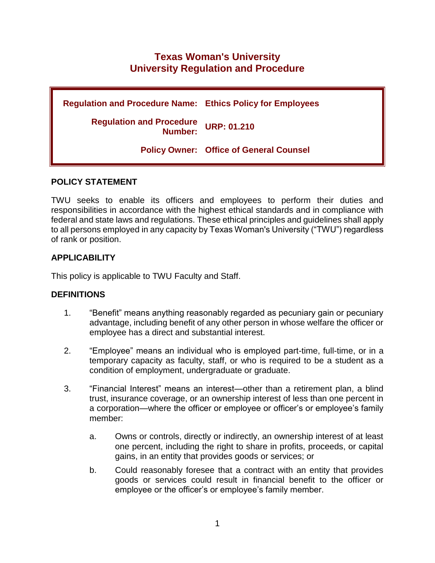# **Texas Woman's University University Regulation and Procedure**

**Regulation and Procedure Name: Ethics Policy for Employees Regulation and Procedure Number: URP: 01.210 Policy Owner: Office of General Counsel** 

# **POLICY STATEMENT**

TWU seeks to enable its officers and employees to perform their duties and responsibilities in accordance with the highest ethical standards and in compliance with federal and state laws and regulations. These ethical principles and guidelines shall apply to all persons employed in any capacity by Texas Woman's University ("TWU") regardless of rank or position.

# **APPLICABILITY**

This policy is applicable to TWU Faculty and Staff.

#### **DEFINITIONS**

- 1. "Benefit" means anything reasonably regarded as pecuniary gain or pecuniary advantage, including benefit of any other person in whose welfare the officer or employee has a direct and substantial interest.
- 2. "Employee" means an individual who is employed part-time, full-time, or in a temporary capacity as faculty, staff, or who is required to be a student as a condition of employment, undergraduate or graduate.
- 3. "Financial Interest" means an interest—other than a retirement plan, a blind trust, insurance coverage, or an ownership interest of less than one percent in a corporation—where the officer or employee or officer's or employee's family member:
	- a. Owns or controls, directly or indirectly, an ownership interest of at least one percent, including the right to share in profits, proceeds, or capital gains, in an entity that provides goods or services; or
	- b. Could reasonably foresee that a contract with an entity that provides goods or services could result in financial benefit to the officer or employee or the officer's or employee's family member.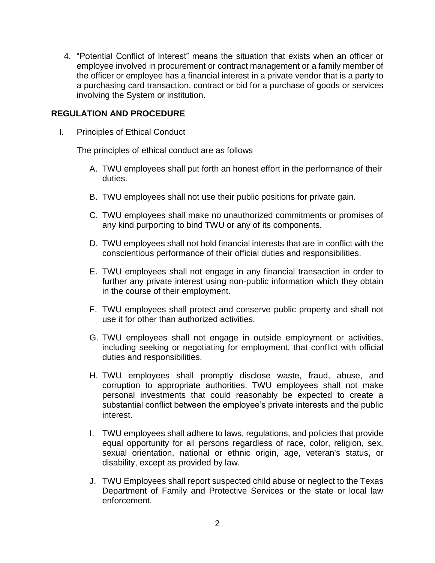4. "Potential Conflict of Interest" means the situation that exists when an officer or employee involved in procurement or contract management or a family member of the officer or employee has a financial interest in a private vendor that is a party to a purchasing card transaction, contract or bid for a purchase of goods or services involving the System or institution.

# **REGULATION AND PROCEDURE**

I. Principles of Ethical Conduct

The principles of ethical conduct are as follows

- A. TWU employees shall put forth an honest effort in the performance of their duties.
- B. TWU employees shall not use their public positions for private gain.
- C. TWU employees shall make no unauthorized commitments or promises of any kind purporting to bind TWU or any of its components.
- D. TWU employees shall not hold financial interests that are in conflict with the conscientious performance of their official duties and responsibilities.
- E. TWU employees shall not engage in any financial transaction in order to further any private interest using non-public information which they obtain in the course of their employment.
- F. TWU employees shall protect and conserve public property and shall not use it for other than authorized activities.
- G. TWU employees shall not engage in outside employment or activities, including seeking or negotiating for employment, that conflict with official duties and responsibilities.
- H. TWU employees shall promptly disclose waste, fraud, abuse, and corruption to appropriate authorities. TWU employees shall not make personal investments that could reasonably be expected to create a substantial conflict between the employee's private interests and the public interest.
- I. TWU employees shall adhere to laws, regulations, and policies that provide equal opportunity for all persons regardless of race, color, religion, sex, sexual orientation, national or ethnic origin, age, veteran's status, or disability, except as provided by law.
- J. TWU Employees shall report suspected child abuse or neglect to the Texas Department of Family and Protective Services or the state or local law enforcement.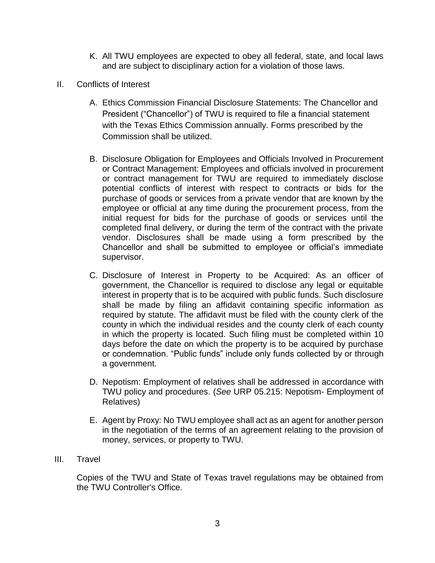- K. All TWU employees are expected to obey all federal, state, and local laws and are subject to disciplinary action for a violation of those laws.
- II. Conflicts of Interest
	- A. Ethics Commission Financial Disclosure Statements: The Chancellor and President ("Chancellor") of TWU is required to file a financial statement with the Texas Ethics Commission annually. Forms prescribed by the Commission shall be utilized.
	- B. Disclosure Obligation for Employees and Officials Involved in Procurement or Contract Management: Employees and officials involved in procurement or contract management for TWU are required to immediately disclose potential conflicts of interest with respect to contracts or bids for the purchase of goods or services from a private vendor that are known by the employee or official at any time during the procurement process, from the initial request for bids for the purchase of goods or services until the completed final delivery, or during the term of the contract with the private vendor. Disclosures shall be made using a form prescribed by the Chancellor and shall be submitted to employee or official's immediate supervisor.
	- C. Disclosure of Interest in Property to be Acquired: As an officer of government, the Chancellor is required to disclose any legal or equitable interest in property that is to be acquired with public funds. Such disclosure shall be made by filing an affidavit containing specific information as required by statute. The affidavit must be filed with the county clerk of the county in which the individual resides and the county clerk of each county in which the property is located. Such filing must be completed within 10 days before the date on which the property is to be acquired by purchase or condemnation. "Public funds" include only funds collected by or through a government.
	- D. Nepotism: Employment of relatives shall be addressed in accordance with TWU policy and procedures. (*See* URP 05.215: Nepotism- Employment of Relatives)
	- E. Agent by Proxy: No TWU employee shall act as an agent for another person in the negotiation of the terms of an agreement relating to the provision of money, services, or property to TWU.
- III. Travel

Copies of the TWU and State of Texas travel regulations may be obtained from the TWU Controller's Office.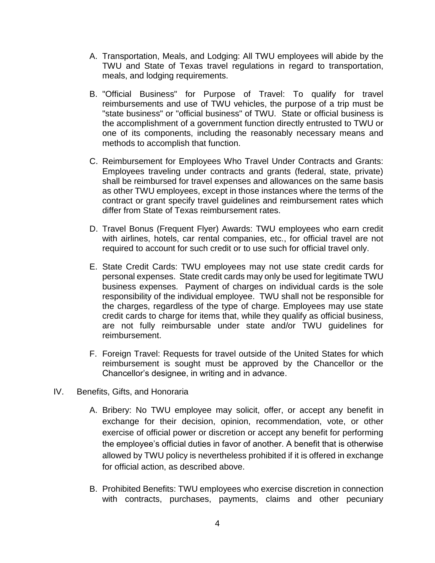- A. Transportation, Meals, and Lodging: All TWU employees will abide by the TWU and State of Texas travel regulations in regard to transportation, meals, and lodging requirements.
- B. "Official Business" for Purpose of Travel: To qualify for travel reimbursements and use of TWU vehicles, the purpose of a trip must be "state business" or "official business" of TWU. State or official business is the accomplishment of a government function directly entrusted to TWU or one of its components, including the reasonably necessary means and methods to accomplish that function.
- C. Reimbursement for Employees Who Travel Under Contracts and Grants: Employees traveling under contracts and grants (federal, state, private) shall be reimbursed for travel expenses and allowances on the same basis as other TWU employees, except in those instances where the terms of the contract or grant specify travel guidelines and reimbursement rates which differ from State of Texas reimbursement rates.
- D. Travel Bonus (Frequent Flyer) Awards: TWU employees who earn credit with airlines, hotels, car rental companies, etc., for official travel are not required to account for such credit or to use such for official travel only.
- E. State Credit Cards: TWU employees may not use state credit cards for personal expenses. State credit cards may only be used for legitimate TWU business expenses. Payment of charges on individual cards is the sole responsibility of the individual employee. TWU shall not be responsible for the charges, regardless of the type of charge. Employees may use state credit cards to charge for items that, while they qualify as official business, are not fully reimbursable under state and/or TWU guidelines for reimbursement.
- F. Foreign Travel: Requests for travel outside of the United States for which reimbursement is sought must be approved by the Chancellor or the Chancellor's designee, in writing and in advance.
- IV. Benefits, Gifts, and Honoraria
	- A. Bribery: No TWU employee may solicit, offer, or accept any benefit in exchange for their decision, opinion, recommendation, vote, or other exercise of official power or discretion or accept any benefit for performing the employee's official duties in favor of another. A benefit that is otherwise allowed by TWU policy is nevertheless prohibited if it is offered in exchange for official action, as described above.
	- B. Prohibited Benefits: TWU employees who exercise discretion in connection with contracts, purchases, payments, claims and other pecuniary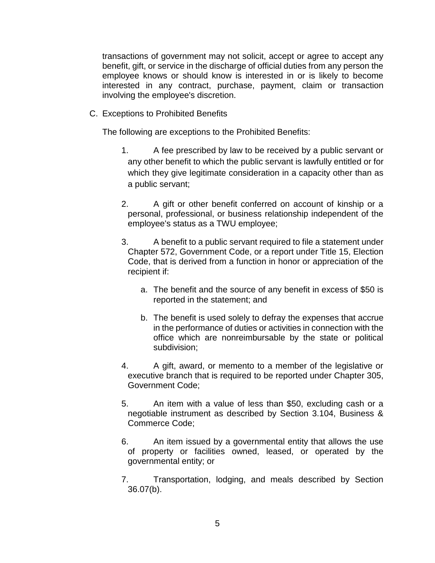transactions of government may not solicit, accept or agree to accept any benefit, gift, or service in the discharge of official duties from any person the employee knows or should know is interested in or is likely to become interested in any contract, purchase, payment, claim or transaction involving the employee's discretion.

C. Exceptions to Prohibited Benefits

The following are exceptions to the Prohibited Benefits:

- 1. A fee prescribed by law to be received by a public servant or any other benefit to which the public servant is lawfully entitled or for which they give legitimate consideration in a capacity other than as a public servant;
- 2. A gift or other benefit conferred on account of kinship or a personal, professional, or business relationship independent of the employee's status as a TWU employee;
- 3. A benefit to a public servant required to file a statement under Chapter 572, Government Code, or a report under Title 15, Election Code, that is derived from a function in honor or appreciation of the recipient if:
	- a. The benefit and the source of any benefit in excess of \$50 is reported in the statement; and
	- b. The benefit is used solely to defray the expenses that accrue in the performance of duties or activities in connection with the office which are nonreimbursable by the state or political subdivision;
- 4. A gift, award, or memento to a member of the legislative or executive branch that is required to be reported under Chapter 305, Government Code;
- 5. An item with a value of less than \$50, excluding cash or a negotiable instrument as described by Section 3.104, Business & Commerce Code;
- 6. An item issued by a governmental entity that allows the use of property or facilities owned, leased, or operated by the governmental entity; or
- 7. Transportation, lodging, and meals described by Section 36.07(b).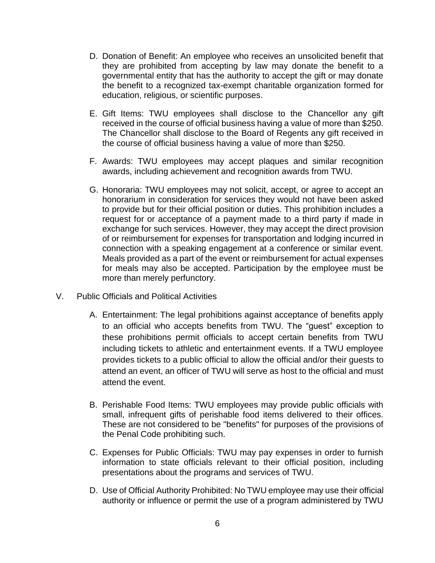- D. Donation of Benefit: An employee who receives an unsolicited benefit that they are prohibited from accepting by law may donate the benefit to a governmental entity that has the authority to accept the gift or may donate the benefit to a recognized tax-exempt charitable organization formed for education, religious, or scientific purposes.
- E. Gift Items: TWU employees shall disclose to the Chancellor any gift received in the course of official business having a value of more than \$250. The Chancellor shall disclose to the Board of Regents any gift received in the course of official business having a value of more than \$250.
- F. Awards: TWU employees may accept plaques and similar recognition awards, including achievement and recognition awards from TWU.
- G. Honoraria: TWU employees may not solicit, accept, or agree to accept an honorarium in consideration for services they would not have been asked to provide but for their official position or duties. This prohibition includes a request for or acceptance of a payment made to a third party if made in exchange for such services. However, they may accept the direct provision of or reimbursement for expenses for transportation and lodging incurred in connection with a speaking engagement at a conference or similar event. Meals provided as a part of the event or reimbursement for actual expenses for meals may also be accepted. Participation by the employee must be more than merely perfunctory.
- V. Public Officials and Political Activities
	- A. Entertainment: The legal prohibitions against acceptance of benefits apply to an official who accepts benefits from TWU. The "guest" exception to these prohibitions permit officials to accept certain benefits from TWU including tickets to athletic and entertainment events. If a TWU employee provides tickets to a public official to allow the official and/or their guests to attend an event, an officer of TWU will serve as host to the official and must attend the event.
	- B. Perishable Food Items: TWU employees may provide public officials with small, infrequent gifts of perishable food items delivered to their offices. These are not considered to be "benefits" for purposes of the provisions of the Penal Code prohibiting such.
	- C. Expenses for Public Officials: TWU may pay expenses in order to furnish information to state officials relevant to their official position, including presentations about the programs and services of TWU.
	- D. Use of Official Authority Prohibited: No TWU employee may use their official authority or influence or permit the use of a program administered by TWU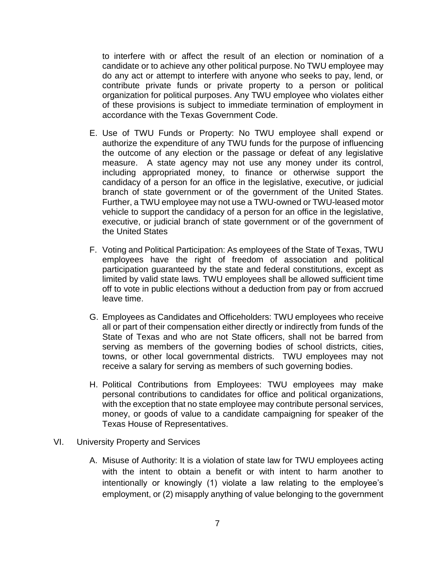to interfere with or affect the result of an election or nomination of a candidate or to achieve any other political purpose. No TWU employee may do any act or attempt to interfere with anyone who seeks to pay, lend, or contribute private funds or private property to a person or political organization for political purposes. Any TWU employee who violates either of these provisions is subject to immediate termination of employment in accordance with the Texas Government Code.

- E. Use of TWU Funds or Property: No TWU employee shall expend or authorize the expenditure of any TWU funds for the purpose of influencing the outcome of any election or the passage or defeat of any legislative measure. A state agency may not use any money under its control, including appropriated money, to finance or otherwise support the candidacy of a person for an office in the legislative, executive, or judicial branch of state government or of the government of the United States. Further, a TWU employee may not use a TWU-owned or TWU-leased motor vehicle to support the candidacy of a person for an office in the legislative, executive, or judicial branch of state government or of the government of the United States
- F. Voting and Political Participation: As employees of the State of Texas, TWU employees have the right of freedom of association and political participation guaranteed by the state and federal constitutions, except as limited by valid state laws. TWU employees shall be allowed sufficient time off to vote in public elections without a deduction from pay or from accrued leave time.
- G. Employees as Candidates and Officeholders: TWU employees who receive all or part of their compensation either directly or indirectly from funds of the State of Texas and who are not State officers, shall not be barred from serving as members of the governing bodies of school districts, cities, towns, or other local governmental districts. TWU employees may not receive a salary for serving as members of such governing bodies.
- H. Political Contributions from Employees: TWU employees may make personal contributions to candidates for office and political organizations, with the exception that no state employee may contribute personal services, money, or goods of value to a candidate campaigning for speaker of the Texas House of Representatives.
- VI. University Property and Services
	- A. Misuse of Authority: It is a violation of state law for TWU employees acting with the intent to obtain a benefit or with intent to harm another to intentionally or knowingly (1) violate a law relating to the employee's employment, or (2) misapply anything of value belonging to the government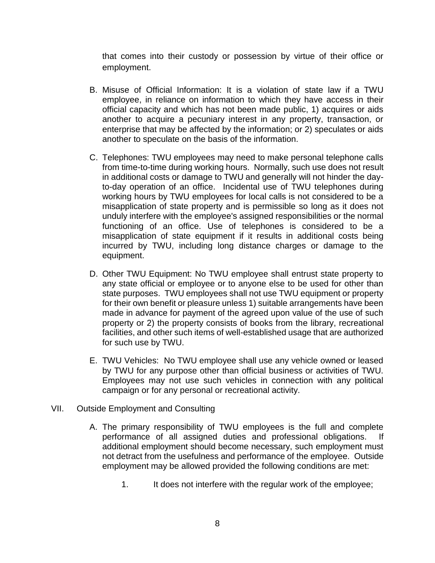that comes into their custody or possession by virtue of their office or employment.

- B. Misuse of Official Information: It is a violation of state law if a TWU employee, in reliance on information to which they have access in their official capacity and which has not been made public, 1) acquires or aids another to acquire a pecuniary interest in any property, transaction, or enterprise that may be affected by the information; or 2) speculates or aids another to speculate on the basis of the information.
- C. Telephones: TWU employees may need to make personal telephone calls from time-to-time during working hours. Normally, such use does not result in additional costs or damage to TWU and generally will not hinder the dayto-day operation of an office. Incidental use of TWU telephones during working hours by TWU employees for local calls is not considered to be a misapplication of state property and is permissible so long as it does not unduly interfere with the employee's assigned responsibilities or the normal functioning of an office. Use of telephones is considered to be a misapplication of state equipment if it results in additional costs being incurred by TWU, including long distance charges or damage to the equipment.
- D. Other TWU Equipment: No TWU employee shall entrust state property to any state official or employee or to anyone else to be used for other than state purposes. TWU employees shall not use TWU equipment or property for their own benefit or pleasure unless 1) suitable arrangements have been made in advance for payment of the agreed upon value of the use of such property or 2) the property consists of books from the library, recreational facilities, and other such items of well-established usage that are authorized for such use by TWU.
- E. TWU Vehicles: No TWU employee shall use any vehicle owned or leased by TWU for any purpose other than official business or activities of TWU. Employees may not use such vehicles in connection with any political campaign or for any personal or recreational activity.
- VII. Outside Employment and Consulting
	- A. The primary responsibility of TWU employees is the full and complete performance of all assigned duties and professional obligations. If additional employment should become necessary, such employment must not detract from the usefulness and performance of the employee. Outside employment may be allowed provided the following conditions are met:
		- 1. It does not interfere with the regular work of the employee;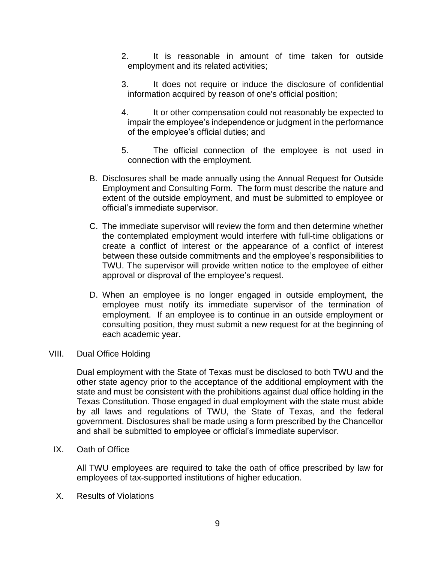- 2. It is reasonable in amount of time taken for outside employment and its related activities;
- 3. It does not require or induce the disclosure of confidential information acquired by reason of one's official position;
- 4. It or other compensation could not reasonably be expected to impair the employee's independence or judgment in the performance of the employee's official duties; and
- 5. The official connection of the employee is not used in connection with the employment.
- B. Disclosures shall be made annually using the Annual Request for Outside Employment and Consulting Form. The form must describe the nature and extent of the outside employment, and must be submitted to employee or official's immediate supervisor.
- C. The immediate supervisor will review the form and then determine whether the contemplated employment would interfere with full-time obligations or create a conflict of interest or the appearance of a conflict of interest between these outside commitments and the employee's responsibilities to TWU. The supervisor will provide written notice to the employee of either approval or disproval of the employee's request.
- D. When an employee is no longer engaged in outside employment, the employee must notify its immediate supervisor of the termination of employment. If an employee is to continue in an outside employment or consulting position, they must submit a new request for at the beginning of each academic year.

#### VIII. Dual Office Holding

Dual employment with the State of Texas must be disclosed to both TWU and the other state agency prior to the acceptance of the additional employment with the state and must be consistent with the prohibitions against dual office holding in the Texas Constitution. Those engaged in dual employment with the state must abide by all laws and regulations of TWU, the State of Texas, and the federal government. Disclosures shall be made using a form prescribed by the Chancellor and shall be submitted to employee or official's immediate supervisor.

IX. Oath of Office

All TWU employees are required to take the oath of office prescribed by law for employees of tax-supported institutions of higher education.

X. Results of Violations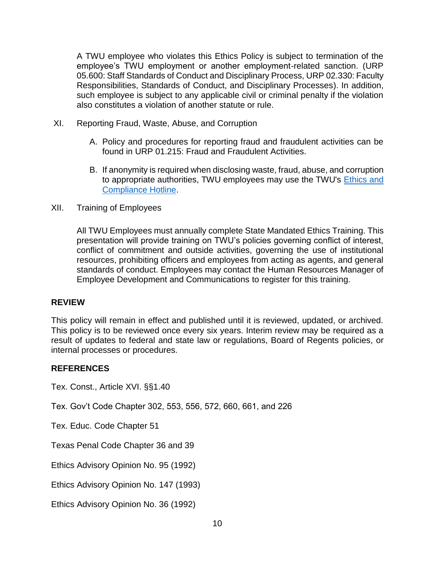A TWU employee who violates this Ethics Policy is subject to termination of the employee's TWU employment or another employment-related sanction. (URP 05.600: Staff Standards of Conduct and Disciplinary Process, URP 02.330: Faculty Responsibilities, Standards of Conduct, and Disciplinary Processes). In addition, such employee is subject to any applicable civil or criminal penalty if the violation also constitutes a violation of another statute or rule.

- XI. Reporting Fraud, Waste, Abuse, and Corruption
	- A. Policy and procedures for reporting fraud and fraudulent activities can be found in URP 01.215: Fraud and Fraudulent Activities.
	- B. If anonymity is required when disclosing waste, fraud, abuse, and corruption to appropriate authorities, TWU employees may use the TWU's [Ethics and](http://www.twu.edu/hotline/)  [Compliance Hotline.](http://www.twu.edu/hotline/)
- XII. Training of Employees

All TWU Employees must annually complete State Mandated Ethics Training. This presentation will provide training on TWU's policies governing conflict of interest, conflict of commitment and outside activities, governing the use of institutional resources, prohibiting officers and employees from acting as agents, and general standards of conduct. Employees may contact the Human Resources Manager of Employee Development and Communications to register for this training.

#### **REVIEW**

This policy will remain in effect and published until it is reviewed, updated, or archived. This policy is to be reviewed once every six years. Interim review may be required as a result of updates to federal and state law or regulations, Board of Regents policies, or internal processes or procedures.

#### **REFERENCES**

Tex. Const., Article XVI. §§1.40

Tex. Gov't Code Chapter 302, 553, 556, 572, 660, 661, and 226

Tex. Educ. Code Chapter 51

Texas Penal Code Chapter 36 and 39

Ethics Advisory Opinion No. 95 (1992)

Ethics Advisory Opinion No. 147 (1993)

Ethics Advisory Opinion No. 36 (1992)